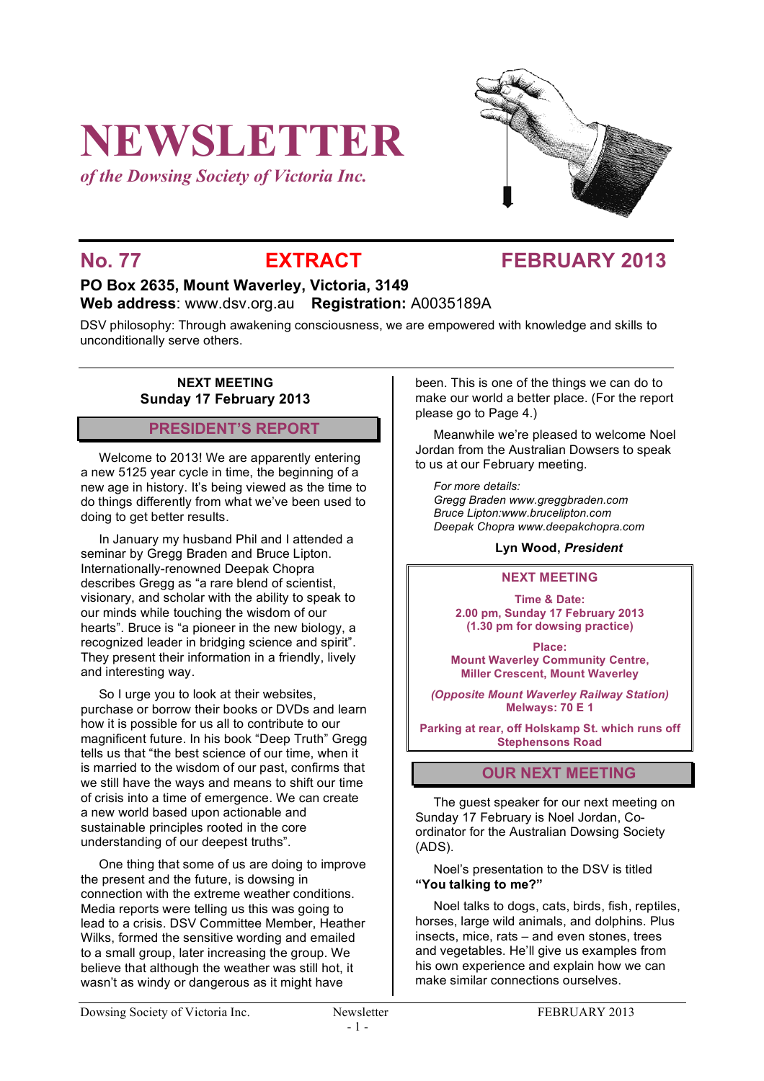# **NEWSLETTER**

*of the Dowsing Society of Victoria Inc.*



# **No. 77 EXTRACT FEBRUARY 2013**

### **PO Box 2635, Mount Waverley, Victoria, 3149 Web address**: www.dsv.org.au **Registration:** A0035189A

DSV philosophy: Through awakening consciousness, we are empowered with knowledge and skills to unconditionally serve others.

#### **NEXT MEETING Sunday 17 February 2013**

#### **PRESIDENT'S REPORT**

Welcome to 2013! We are apparently entering a new 5125 year cycle in time, the beginning of a new age in history. It's being viewed as the time to do things differently from what we've been used to doing to get better results.

In January my husband Phil and I attended a seminar by Gregg Braden and Bruce Lipton. Internationally-renowned Deepak Chopra describes Gregg as "a rare blend of scientist, visionary, and scholar with the ability to speak to our minds while touching the wisdom of our hearts". Bruce is "a pioneer in the new biology, a recognized leader in bridging science and spirit". They present their information in a friendly, lively and interesting way.

So I urge you to look at their websites, purchase or borrow their books or DVDs and learn how it is possible for us all to contribute to our magnificent future. In his book "Deep Truth" Gregg tells us that "the best science of our time, when it is married to the wisdom of our past, confirms that we still have the ways and means to shift our time of crisis into a time of emergence. We can create a new world based upon actionable and sustainable principles rooted in the core understanding of our deepest truths".

One thing that some of us are doing to improve the present and the future, is dowsing in connection with the extreme weather conditions. Media reports were telling us this was going to lead to a crisis. DSV Committee Member, Heather Wilks, formed the sensitive wording and emailed to a small group, later increasing the group. We believe that although the weather was still hot, it wasn't as windy or dangerous as it might have

been. This is one of the things we can do to make our world a better place. (For the report please go to Page 4.)

Meanwhile we're pleased to welcome Noel Jordan from the Australian Dowsers to speak to us at our February meeting.

*For more details: Gregg Braden www.greggbraden.com Bruce Lipton:www.brucelipton.com Deepak Chopra www.deepakchopra.com*

#### **Lyn Wood,** *President*

# **NEXT MEETING**

**Time & Date: 2.00 pm, Sunday 17 February 2013 (1.30 pm for dowsing practice)**

**Place: Mount Waverley Community Centre, Miller Crescent, Mount Waverley**

*(Opposite Mount Waverley Railway Station)* **Melways: 70 E 1**

**Parking at rear, off Holskamp St. which runs off Stephensons Road**

#### **OUR NEXT MEETING**

The guest speaker for our next meeting on Sunday 17 February is Noel Jordan, Coordinator for the Australian Dowsing Society (ADS).

Noel's presentation to the DSV is titled **"You talking to me?"**

Noel talks to dogs, cats, birds, fish, reptiles, horses, large wild animals, and dolphins. Plus insects, mice, rats – and even stones, trees and vegetables. He'll give us examples from his own experience and explain how we can make similar connections ourselves.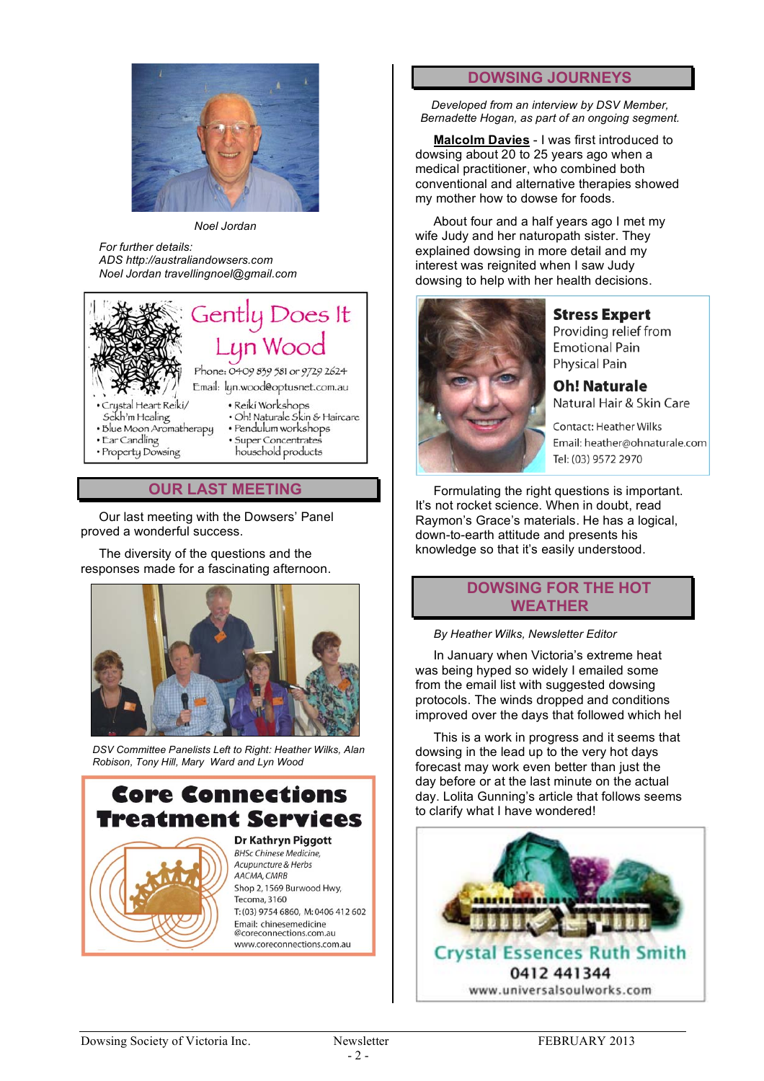

*Noel Jordan*

*For further details: ADS http://australiandowsers.com Noel Jordan travellingnoel@gmail.com*



#### **OUR LAST MEETING**

Our last meeting with the Dowsers' Panel proved a wonderful success.

The diversity of the questions and the responses made for a fascinating afternoon.



*DSV Committee Panelists Left to Right: Heather Wilks, Alan Robison, Tony Hill, Mary Ward and Lyn Wood*

## **Core Connections** Freatment Services **Dr Kathryn Piggott BHSc Chinese Medicine**,



Acupuncture & Herbs AACMA, CMRB Shop 2, 1569 Burwood Hwy, Tecoma 3160 T: (03) 9754 6860, M: 0406 412 602 Email: chinesemedicine @coreconnections.com.au www.coreconnections.com.au

#### **DOWSING JOURNEYS**

*Developed from an interview by DSV Member, Bernadette Hogan, as part of an ongoing segment.*

**Malcolm Davies** - I was first introduced to dowsing about 20 to 25 years ago when a medical practitioner, who combined both conventional and alternative therapies showed my mother how to dowse for foods.

About four and a half years ago I met my wife Judy and her naturopath sister. They explained dowsing in more detail and my interest was reignited when I saw Judy dowsing to help with her health decisions.



**Stress Expert** Providing relief from **Emotional Pain Physical Pain** 

**Oh! Naturale** Natural Hair & Skin Care

**Contact: Heather Wilks** Email: heather@ohnaturale.com Tel: (03) 9572 2970

Formulating the right questions is important. It's not rocket science. When in doubt, read Raymon's Grace's materials. He has a logical, down-to-earth attitude and presents his knowledge so that it's easily understood.

#### **DOWSING FOR THE HOT WEATHER**

*By Heather Wilks, Newsletter Editor*

In January when Victoria's extreme heat was being hyped so widely I emailed some from the email list with suggested dowsing protocols. The winds dropped and conditions improved over the days that followed which hel

This is a work in progress and it seems that dowsing in the lead up to the very hot days forecast may work even better than just the day before or at the last minute on the actual day. Lolita Gunning's article that follows seems to clarify what I have wondered!